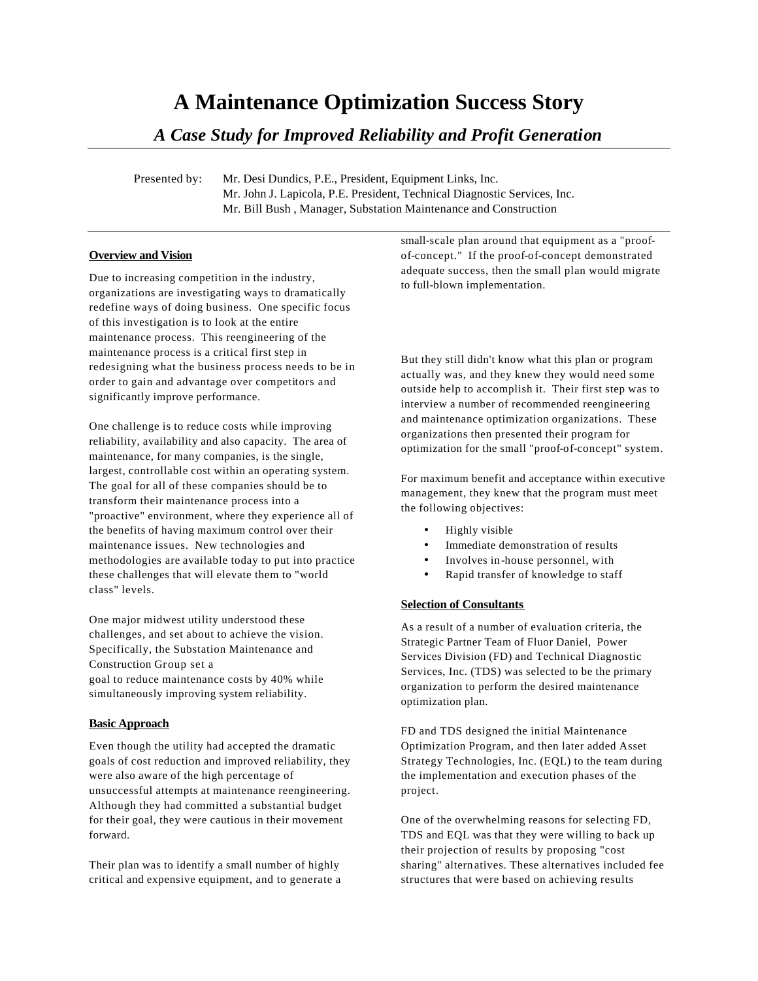# **A Maintenance Optimization Success Story**

# *A Case Study for Improved Reliability and Profit Generation*

Presented by: Mr. Desi Dundics, P.E., President, Equipment Links, Inc. Mr. John J. Lapicola, P.E. President, Technical Diagnostic Services, Inc. Mr. Bill Bush , Manager, Substation Maintenance and Construction

#### **Overview and Vision**

Due to increasing competition in the industry, organizations are investigating ways to dramatically redefine ways of doing business. One specific focus of this investigation is to look at the entire maintenance process. This reengineering of the maintenance process is a critical first step in redesigning what the business process needs to be in order to gain and advantage over competitors and significantly improve performance.

One challenge is to reduce costs while improving reliability, availability and also capacity. The area of maintenance, for many companies, is the single, largest, controllable cost within an operating system. The goal for all of these companies should be to transform their maintenance process into a "proactive" environment, where they experience all of the benefits of having maximum control over their maintenance issues. New technologies and methodologies are available today to put into practice these challenges that will elevate them to "world class" levels.

One major midwest utility understood these challenges, and set about to achieve the vision. Specifically, the Substation Maintenance and Construction Group set a goal to reduce maintenance costs by 40% while simultaneously improving system reliability.

#### **Basic Approach**

Even though the utility had accepted the dramatic goals of cost reduction and improved reliability, they were also aware of the high percentage of unsuccessful attempts at maintenance reengineering. Although they had committed a substantial budget for their goal, they were cautious in their movement forward.

Their plan was to identify a small number of highly critical and expensive equipment, and to generate a small-scale plan around that equipment as a "proofof-concept." If the proof-of-concept demonstrated adequate success, then the small plan would migrate to full-blown implementation.

But they still didn't know what this plan or program actually was, and they knew they would need some outside help to accomplish it. Their first step was to interview a number of recommended reengineering and maintenance optimization organizations. These organizations then presented their program for optimization for the small "proof-of-concept" system.

For maximum benefit and acceptance within executive management, they knew that the program must meet the following objectives:

- Highly visible
- Immediate demonstration of results
- Involves in -house personnel, with
- Rapid transfer of knowledge to staff

#### **Selection of Consultants**

As a result of a number of evaluation criteria, the Strategic Partner Team of Fluor Daniel, Power Services Division (FD) and Technical Diagnostic Services, Inc. (TDS) was selected to be the primary organization to perform the desired maintenance optimization plan.

FD and TDS designed the initial Maintenance Optimization Program, and then later added Asset Strategy Technologies, Inc. (EQL) to the team during the implementation and execution phases of the project.

One of the overwhelming reasons for selecting FD, TDS and EQL was that they were willing to back up their projection of results by proposing "cost sharing" altern atives. These alternatives included fee structures that were based on achieving results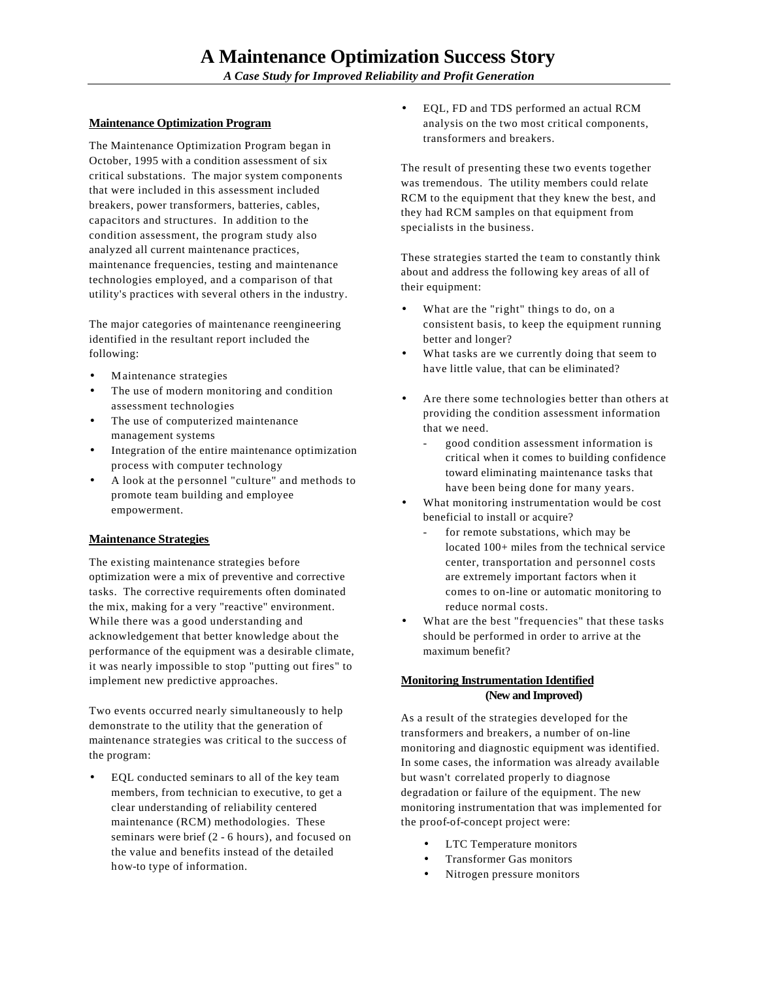#### **Maintenance Optimization Program**

The Maintenance Optimization Program began in October, 1995 with a condition assessment of six critical substations. The major system components that were included in this assessment included breakers, power transformers, batteries, cables, capacitors and structures. In addition to the condition assessment, the program study also analyzed all current maintenance practices, maintenance frequencies, testing and maintenance technologies employed, and a comparison of that utility's practices with several others in the industry.

The major categories of maintenance reengineering identified in the resultant report included the following:

- Maintenance strategies
- The use of modern monitoring and condition assessment technologies
- The use of computerized maintenance management systems
- Integration of the entire maintenance optimization process with computer technology
- A look at the personnel "culture" and methods to promote team building and employee empowerment.

#### **Maintenance Strategies**

The existing maintenance strategies before optimization were a mix of preventive and corrective tasks. The corrective requirements often dominated the mix, making for a very "reactive" environment. While there was a good understanding and acknowledgement that better knowledge about the performance of the equipment was a desirable climate, it was nearly impossible to stop "putting out fires" to implement new predictive approaches.

Two events occurred nearly simultaneously to help demonstrate to the utility that the generation of maintenance strategies was critical to the success of the program:

• EQL conducted seminars to all of the key team members, from technician to executive, to get a clear understanding of reliability centered maintenance (RCM) methodologies. These seminars were brief (2 - 6 hours), and focused on the value and benefits instead of the detailed how-to type of information.

• EQL, FD and TDS performed an actual RCM analysis on the two most critical components, transformers and breakers.

The result of presenting these two events together was tremendous. The utility members could relate RCM to the equipment that they knew the best, and they had RCM samples on that equipment from specialists in the business.

These strategies started the team to constantly think about and address the following key areas of all of their equipment:

- What are the "right" things to do, on a consistent basis, to keep the equipment running better and longer?
- What tasks are we currently doing that seem to have little value, that can be eliminated?
- Are there some technologies better than others at providing the condition assessment information that we need.
	- good condition assessment information is critical when it comes to building confidence toward eliminating maintenance tasks that have been being done for many years.
- What monitoring instrumentation would be cost beneficial to install or acquire?
	- for remote substations, which may be located 100+ miles from the technical service center, transportation and personnel costs are extremely important factors when it comes to on-line or automatic monitoring to reduce normal costs.
- What are the best "frequencies" that these tasks should be performed in order to arrive at the maximum benefit?

#### **Monitoring Instrumentation Identified (New and Improved)**

As a result of the strategies developed for the transformers and breakers, a number of on-line monitoring and diagnostic equipment was identified. In some cases, the information was already available but wasn't correlated properly to diagnose degradation or failure of the equipment. The new monitoring instrumentation that was implemented for the proof-of-concept project were:

- LTC Temperature monitors
- Transformer Gas monitors
- Nitrogen pressure monitors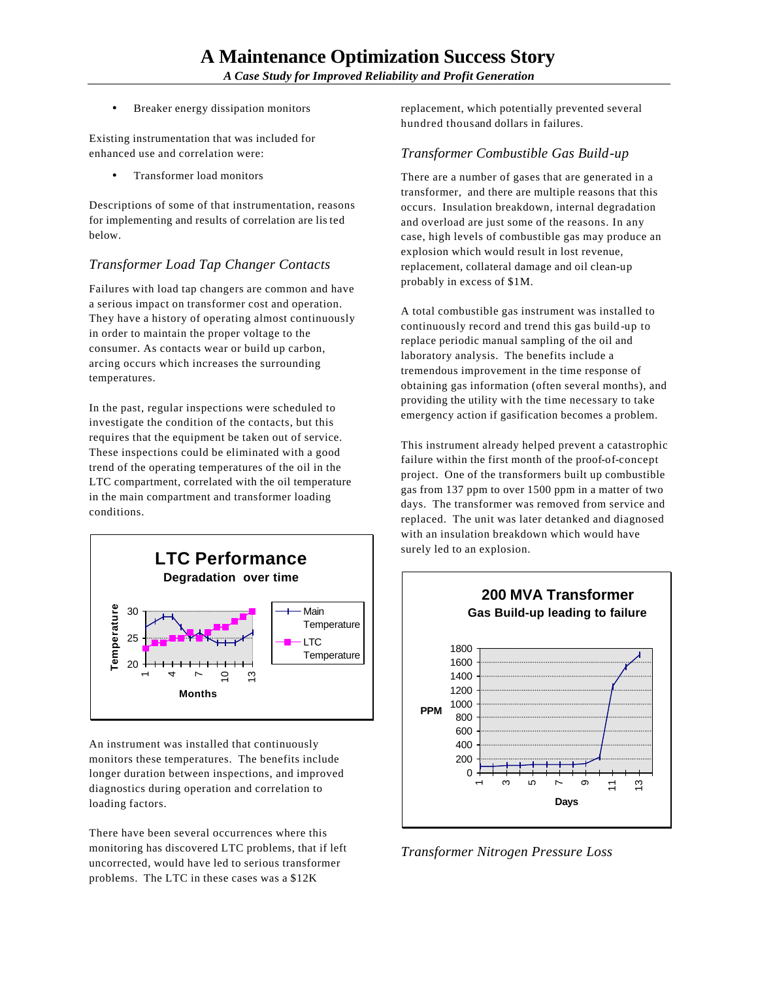Breaker energy dissipation monitors

Existing instrumentation that was included for enhanced use and correlation were:

• Transformer load monitors

Descriptions of some of that instrumentation, reasons for implementing and results of correlation are lis ted below.

## *Transformer Load Tap Changer Contacts*

Failures with load tap changers are common and have a serious impact on transformer cost and operation. They have a history of operating almost continuously in order to maintain the proper voltage to the consumer. As contacts wear or build up carbon, arcing occurs which increases the surrounding temperatures.

In the past, regular inspections were scheduled to investigate the condition of the contacts, but this requires that the equipment be taken out of service. These inspections could be eliminated with a good trend of the operating temperatures of the oil in the LTC compartment, correlated with the oil temperature in the main compartment and transformer loading conditions.



An instrument was installed that continuously monitors these temperatures. The benefits include longer duration between inspections, and improved diagnostics during operation and correlation to loading factors.

There have been several occurrences where this monitoring has discovered LTC problems, that if left uncorrected, would have led to serious transformer problems. The LTC in these cases was a \$12K

replacement, which potentially prevented several hundred thousand dollars in failures.

### *Transformer Combustible Gas Build-up*

There are a number of gases that are generated in a transformer, and there are multiple reasons that this occurs. Insulation breakdown, internal degradation and overload are just some of the reasons. In any case, high levels of combustible gas may produce an explosion which would result in lost revenue, replacement, collateral damage and oil clean-up probably in excess of \$1M.

A total combustible gas instrument was installed to continuously record and trend this gas build -up to replace periodic manual sampling of the oil and laboratory analysis. The benefits include a tremendous improvement in the time response of obtaining gas information (often several months), and providing the utility with the time necessary to take emergency action if gasification becomes a problem.

This instrument already helped prevent a catastrophic failure within the first month of the proof-of-concept project. One of the transformers built up combustible gas from 137 ppm to over 1500 ppm in a matter of two days. The transformer was removed from service and replaced. The unit was later detanked and diagnosed with an insulation breakdown which would have surely led to an explosion.



*Transformer Nitrogen Pressure Loss*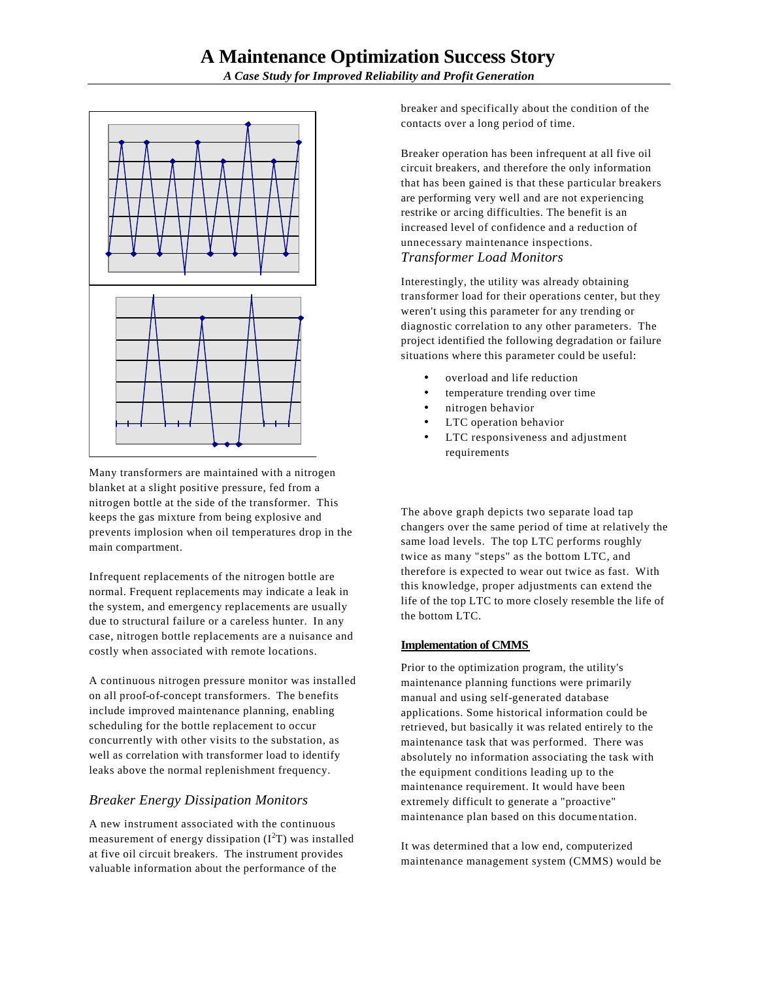

Many transformers are maintained with a nitrogen blanket at a slight positive pressure, fed from a nitrogen bottle at the side of the transformer. This keeps the gas mixture from being explosive and prevents implosion when oil temperatures drop in the main compartment.

Infrequent replacements of the nitrogen bottle are normal. Frequent replacements may indicate a leak in the system, and emergency replacements are usually due to structural failure or a careless hunter. In any case, nitrogen bottle replacements are a nuisance and costly when associated with remote locations.

A continuous nitrogen pressure monitor was installed on all proof-of-concept transformers. The benefits include improved maintenance planning, enabling scheduling for the bottle replacement to occur concurrently with other visits to the substation, as well as correlation with transformer load to identify leaks above the normal replenishment frequency.

## *Breaker Energy Dissipation Monitors*

A new instrument associated with the continuous measurement of energy dissipation  $(I<sup>2</sup>T)$  was installed at five oil circuit breakers. The instrument provides valuable information about the performance of the

breaker and specifically about the condition of the contacts over a long period of time.

Breaker operation has been infrequent at all five oil circuit breakers, and therefore the only information that has been gained is that these particular breakers are performing very well and are not experiencing restrike or arcing difficulties. The benefit is an increased level of confidence and a reduction of unnecessary maintenance inspections. *Transformer Load Monitors*

Interestingly, the utility was already obtaining transformer load for their operations center, but they weren't using this parameter for any trending or diagnostic correlation to any other parameters. The project identified the following degradation or failure situations where this parameter could be useful:

- overload and life reduction
- temperature trending over time
- nitrogen behavior
- LTC operation behavior
- LTC responsiveness and adjustment requirements

The above graph depicts two separate load tap changers over the same period of time at relatively the same load levels. The top LTC performs roughly twice as many "steps" as the bottom LTC, and therefore is expected to wear out twice as fast. With this knowledge, proper adjustments can extend the life of the top LTC to more closely resemble the life of the bottom LTC.

#### **Implementation of CMMS**

Prior to the optimization program, the utility's maintenance planning functions were primarily manual and using self-generated database applications. Some historical information could be retrieved, but basically it was related entirely to the maintenance task that was performed. There was absolutely no information associating the task with the equipment conditions leading up to the maintenance requirement. It would have been extremely difficult to generate a "proactive" maintenance plan based on this docume ntation.

It was determined that a low end, computerized maintenance management system (CMMS) would be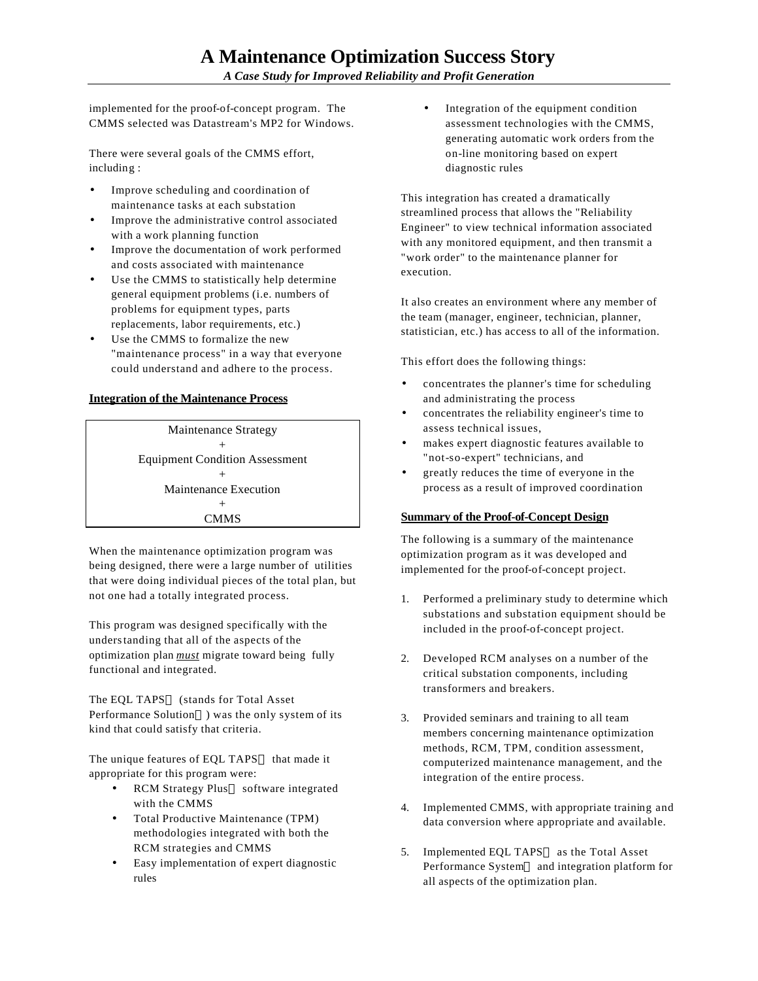implemented for the proof-of-concept program. The CMMS selected was Datastream's MP2 for Windows.

There were several goals of the CMMS effort, including :

- Improve scheduling and coordination of maintenance tasks at each substation
- Improve the administrative control associated with a work planning function
- Improve the documentation of work performed and costs associated with maintenance
- Use the CMMS to statistically help determine general equipment problems (i.e. numbers of problems for equipment types, parts replacements, labor requirements, etc.)
- Use the CMMS to formalize the new "maintenance process" in a way that everyone could understand and adhere to the process.

#### **Integration of the Maintenance Process**

Maintenance Strategy + Equipment Condition Assessment + Maintenance Execution  $+$ CMMS

When the maintenance optimization program was being designed, there were a large number of utilities that were doing individual pieces of the total plan, but not one had a totally integrated process.

This program was designed specifically with the understanding that all of the aspects of the optimization plan *must* migrate toward being fully functional and integrated.

The EQL TAPS™ (stands for Total Asset Performance Solution<sup>™</sup>) was the only system of its kind that could satisfy that criteria.

The unique features of EQL TAPS<sup>TM</sup> that made it appropriate for this program were:

- RCM Strategy Plus<sup>TM</sup> software integrated with the CMMS
- Total Productive Maintenance (TPM) methodologies integrated with both the RCM strategies and CMMS
- Easy implementation of expert diagnostic rules

Integration of the equipment condition assessment technologies with the CMMS, generating automatic work orders from the on-line monitoring based on expert diagnostic rules

This integration has created a dramatically streamlined process that allows the "Reliability Engineer" to view technical information associated with any monitored equipment, and then transmit a "work order" to the maintenance planner for execution.

It also creates an environment where any member of the team (manager, engineer, technician, planner, statistician, etc.) has access to all of the information.

This effort does the following things:

- concentrates the planner's time for scheduling and administrating the process
- concentrates the reliability engineer's time to assess technical issues,
- makes expert diagnostic features available to "not-so-expert" technicians, and
- greatly reduces the time of everyone in the process as a result of improved coordination

#### **Summary of the Proof-of-Concept Design**

The following is a summary of the maintenance optimization program as it was developed and implemented for the proof-of-concept project.

- 1. Performed a preliminary study to determine which substations and substation equipment should be included in the proof-of-concept project.
- 2. Developed RCM analyses on a number of the critical substation components, including transformers and breakers.
- 3. Provided seminars and training to all team members concerning maintenance optimization methods, RCM, TPM, condition assessment, computerized maintenance management, and the integration of the entire process.
- 4. Implemented CMMS, with appropriate training and data conversion where appropriate and available.
- 5. Implemented EQL TAPS™ as the Total Asset Performance System<sup>TM</sup> and integration platform for all aspects of the optimization plan.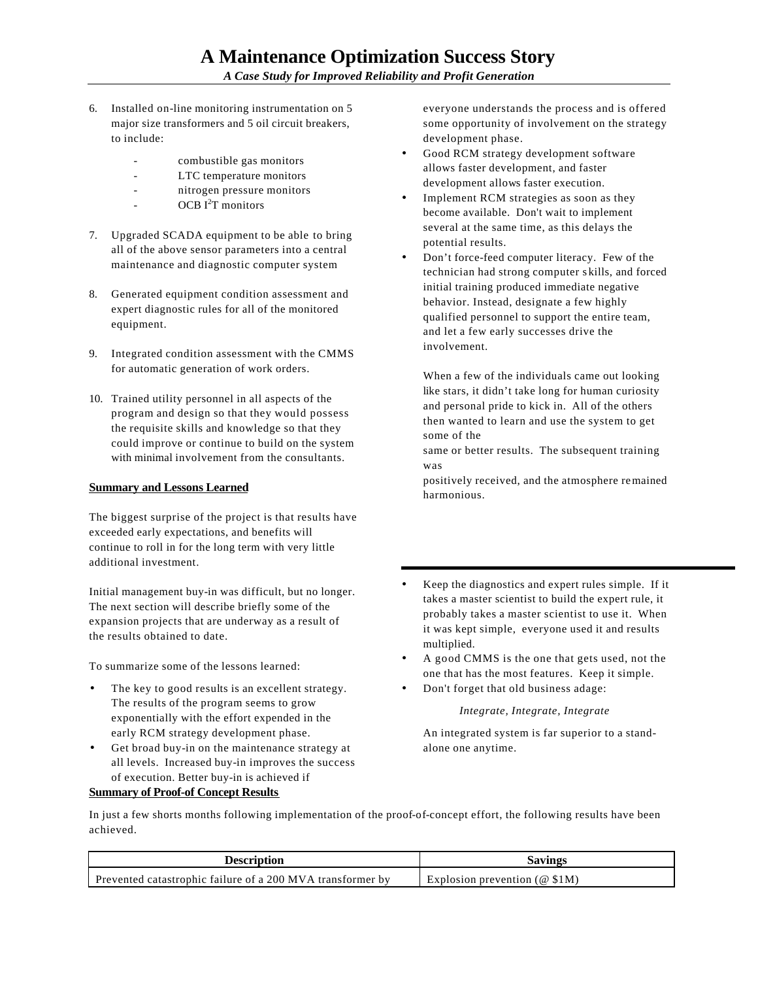- 6. Installed on-line monitoring instrumentation on 5 major size transformers and 5 oil circuit breakers, to include:
	- combustible gas monitors
	- LTC temperature monitors
	- nitrogen pressure monitors
	- OCB I<sup>2</sup>T monitors
- 7. Upgraded SCADA equipment to be able to bring all of the above sensor parameters into a central maintenance and diagnostic computer system
- 8. Generated equipment condition assessment and expert diagnostic rules for all of the monitored equipment.
- 9. Integrated condition assessment with the CMMS for automatic generation of work orders.
- 10. Trained utility personnel in all aspects of the program and design so that they would possess the requisite skills and knowledge so that they could improve or continue to build on the system with minimal involvement from the consultants.

#### **Summary and Lessons Learned**

The biggest surprise of the project is that results have exceeded early expectations, and benefits will continue to roll in for the long term with very little additional investment.

Initial management buy-in was difficult, but no longer. The next section will describe briefly some of the expansion projects that are underway as a result of the results obtained to date.

To summarize some of the lessons learned:

- The key to good results is an excellent strategy. The results of the program seems to grow exponentially with the effort expended in the early RCM strategy development phase.
- Get broad buy-in on the maintenance strategy at all levels. Increased buy-in improves the success of execution. Better buy-in is achieved if **Summary of Proof-of Concept Results**

everyone understands the process and is offered some opportunity of involvement on the strategy development phase.

- Good RCM strategy development software allows faster development, and faster development allows faster execution.
- Implement RCM strategies as soon as they become available. Don't wait to implement several at the same time, as this delays the potential results.
- Don't force-feed computer literacy. Few of the technician had strong computer s kills, and forced initial training produced immediate negative behavior. Instead, designate a few highly qualified personnel to support the entire team, and let a few early successes drive the involvement.

When a few of the individuals came out looking like stars, it didn't take long for human curiosity and personal pride to kick in. All of the others then wanted to learn and use the system to get some of the

same or better results. The subsequent training was

positively received, and the atmosphere remained harmonious.

- Keep the diagnostics and expert rules simple. If it takes a master scientist to build the expert rule, it probably takes a master scientist to use it. When it was kept simple, everyone used it and results multiplied.
- A good CMMS is the one that gets used, not the one that has the most features. Keep it simple.
- Don't forget that old business adage:

*Integrate, Integrate, Integrate*

An integrated system is far superior to a standalone one anytime.

In just a few shorts months following implementation of the proof-of-concept effort, the following results have been achieved.

| Jescription                                                | Savings                              |
|------------------------------------------------------------|--------------------------------------|
| Prevented catastrophic failure of a 200 MVA transformer by | n prevention (@ $$1M$ )<br>Explosion |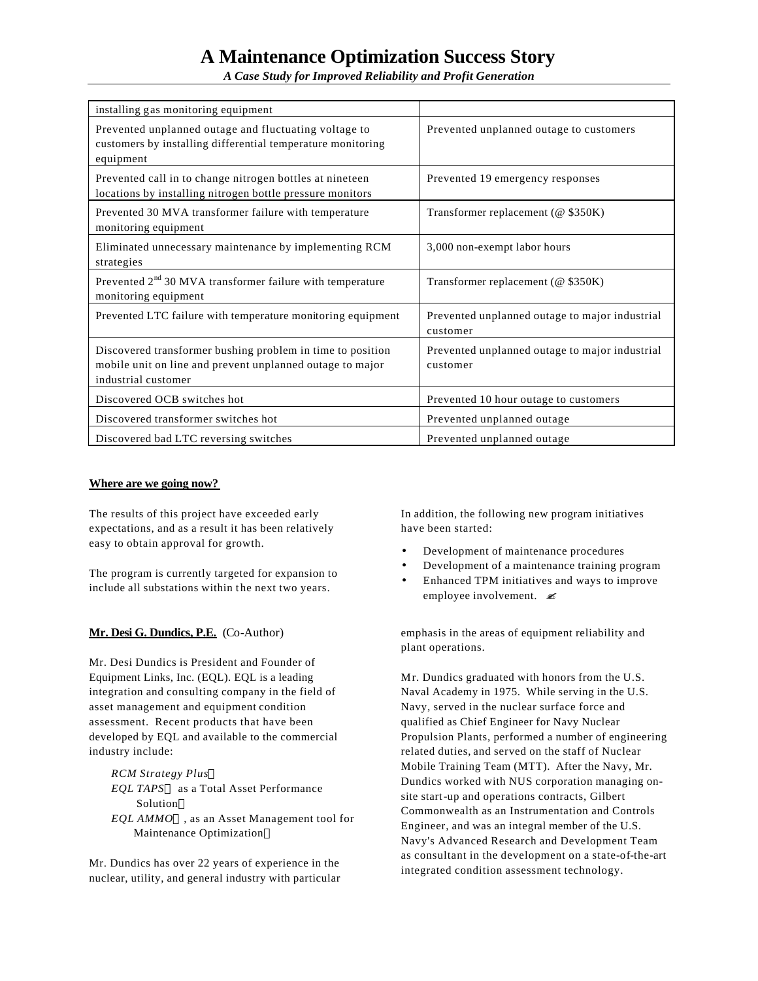# **A Maintenance Optimization Success Story**

*A Case Study for Improved Reliability and Profit Generation*

| installing gas monitoring equipment                                                                                                            |                                                            |
|------------------------------------------------------------------------------------------------------------------------------------------------|------------------------------------------------------------|
| Prevented unplanned outage and fluctuating voltage to<br>customers by installing differential temperature monitoring<br>equipment              | Prevented unplanned outage to customers                    |
| Prevented call in to change nitrogen bottles at nineteen<br>locations by installing nitrogen bottle pressure monitors                          | Prevented 19 emergency responses                           |
| Prevented 30 MVA transformer failure with temperature<br>monitoring equipment                                                                  | Transformer replacement (@ \$350K)                         |
| Eliminated unnecessary maintenance by implementing RCM<br>strategies                                                                           | 3,000 non-exempt labor hours                               |
| Prevented 2 <sup>nd</sup> 30 MVA transformer failure with temperature<br>monitoring equipment                                                  | Transformer replacement ( $@$ \$350K)                      |
| Prevented LTC failure with temperature monitoring equipment                                                                                    | Prevented unplanned outage to major industrial<br>customer |
| Discovered transformer bushing problem in time to position<br>mobile unit on line and prevent unplanned outage to major<br>industrial customer | Prevented unplanned outage to major industrial<br>customer |
| Discovered OCB switches hot                                                                                                                    | Prevented 10 hour outage to customers                      |
| Discovered transformer switches hot                                                                                                            | Prevented unplanned outage                                 |
| Discovered bad LTC reversing switches                                                                                                          | Prevented unplanned outage                                 |

#### **Where are we going now?**

The results of this project have exceeded early expectations, and as a result it has been relatively easy to obtain approval for growth.

The program is currently targeted for expansion to include all substations within the next two years.

#### **Mr. Desi G. Dundics, P.E.** (Co-Author)

Mr. Desi Dundics is President and Founder of Equipment Links, Inc. (EQL). EQL is a leading integration and consulting company in the field of asset management and equipment condition assessment. Recent products that have been developed by EQL and available to the commercial industry include:

*RCM Strategy Plus EQL TAPS<sup>™</sup>* as a Total Asset Performance Solution *EQL AMMO*™, as an Asset Management tool for Maintenance Optimization<sup>™</sup>

Mr. Dundics has over 22 years of experience in the nuclear, utility, and general industry with particular

In addition, the following new program initiatives have been started:

- Development of maintenance procedures
- Development of a maintenance training program
- Enhanced TPM initiatives and ways to improve employee involvement.  $\leq$

emphasis in the areas of equipment reliability and plant operations.

Mr. Dundics graduated with honors from the U.S. Naval Academy in 1975. While serving in the U.S. Navy, served in the nuclear surface force and qualified as Chief Engineer for Navy Nuclear Propulsion Plants, performed a number of engineering related duties, and served on the staff of Nuclear Mobile Training Team (MTT). After the Navy, Mr. Dundics worked with NUS corporation managing onsite start-up and operations contracts, Gilbert Commonwealth as an Instrumentation and Controls Engineer, and was an integral member of the U.S. Navy's Advanced Research and Development Team as consultant in the development on a state-of-the-art integrated condition assessment technology.